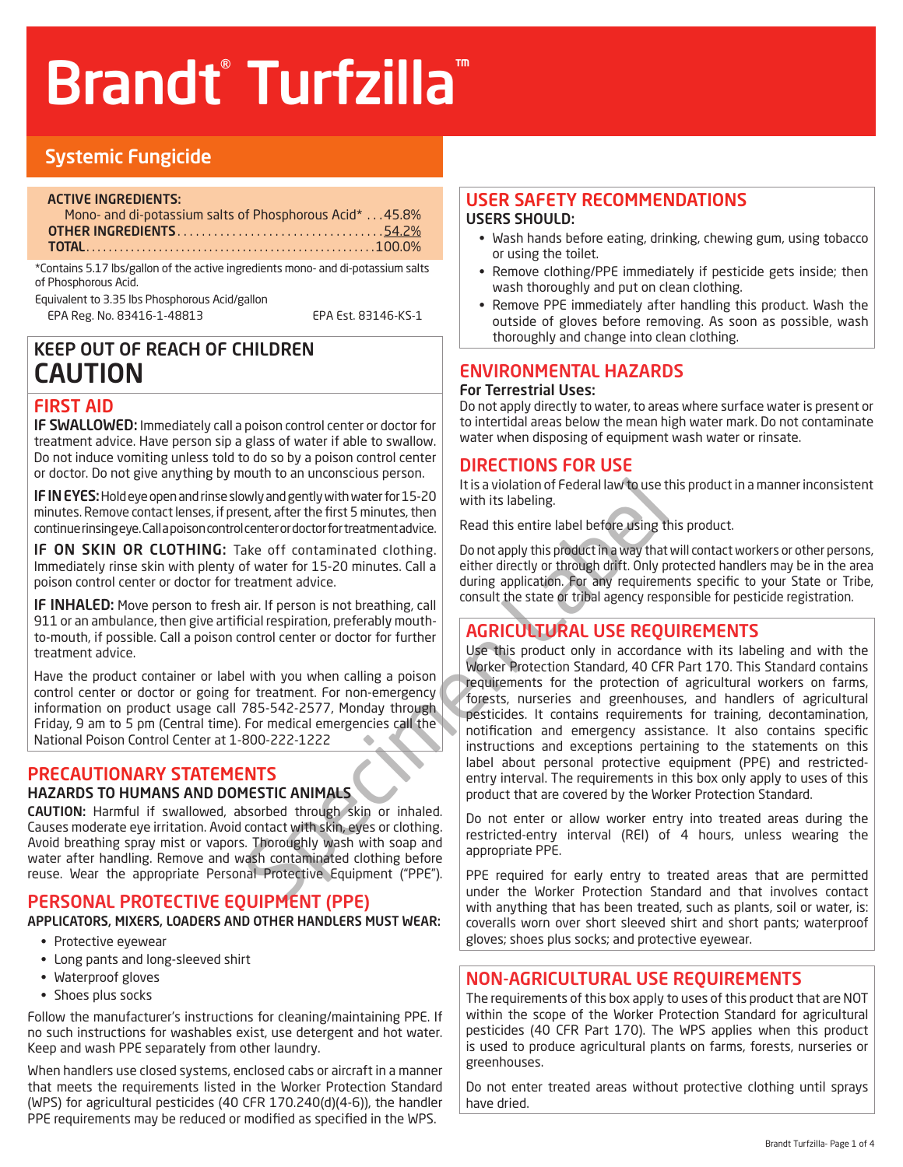# Brandt® Turfzilla™

# Systemic Fungicide

#### ACTIVE INGREDIENTS:

| Mono- and di-potassium salts of Phosphorous Acid* 45.8% |  |
|---------------------------------------------------------|--|
|                                                         |  |
|                                                         |  |

\*Contains 5.17 lbs/gallon of the active ingredients mono- and di-potassium salts of Phosphorous Acid.

Equivalent to 3.35 lbs Phosphorous Acid/gallon EPA Reg. No. 83416-1-48813 EPA Est. 83146-KS-1

# KEEP OUT OF REACH OF CHILDREN CAUTION

## FIRST AID

IF SWALLOWED: Immediately call a poison control center or doctor for treatment advice. Have person sip a glass of water if able to swallow. Do not induce vomiting unless told to do so by a poison control center or doctor. Do not give anything by mouth to an unconscious person.

**IF IN EYES:** Hold eye open and rinse slowly and gently with water for 15-20 minutes. Remove contact lenses, if present, after the first 5 minutes, then continue rinsing eye. Call a poison control center or doctor for treatment advice.

IF ON SKIN OR CLOTHING: Take off contaminated clothing. Immediately rinse skin with plenty of water for 15-20 minutes. Call a poison control center or doctor for treatment advice.

IF INHALED: Move person to fresh air. If person is not breathing, call 911 or an ambulance, then give artificial respiration, preferably mouthto-mouth, if possible. Call a poison control center or doctor for further treatment advice.

Have the product container or label with you when calling a poison control center or doctor or going for treatment. For non-emergency information on product usage call 785-542-2577, Monday through Friday, 9 am to 5 pm (Central time). For medical emergencies call the National Poison Control Center at 1-800-222-1222

## PRECAUTIONARY STATEMENTS

## HAZARDS TO HUMANS AND DOMESTIC ANIMALS

CAUTION: Harmful if swallowed, absorbed through skin or inhaled. Causes moderate eye irritation. Avoid contact with skin, eyes or clothing. Avoid breathing spray mist or vapors. Thoroughly wash with soap and water after handling. Remove and wash contaminated clothing before reuse. Wear the appropriate Personal Protective Equipment ("PPE").

# PERSONAL PROTECTIVE EQUIPMENT (PPE)

APPLICATORS, MIXERS, LOADERS AND OTHER HANDLERS MUST WEAR:

- Protective eyewear
- Long pants and long-sleeved shirt
- Waterproof gloves
- Shoes plus socks

Follow the manufacturer's instructions for cleaning/maintaining PPE. If no such instructions for washables exist, use detergent and hot water. Keep and wash PPE separately from other laundry.

When handlers use closed systems, enclosed cabs or aircraft in a manner that meets the requirements listed in the Worker Protection Standard (WPS) for agricultural pesticides (40 CFR 170.240(d)(4-6)), the handler PPE requirements may be reduced or modified as specified in the WPS.

# USER SAFETY RECOMMENDATIONS

### USERS SHOULD:

- Wash hands before eating, drinking, chewing gum, using tobacco or using the toilet.
- Remove clothing/PPE immediately if pesticide gets inside; then wash thoroughly and put on clean clothing.
- Remove PPE immediately after handling this product. Wash the outside of gloves before removing. As soon as possible, wash thoroughly and change into clean clothing.

## ENVIRONMENTAL HAZARDS

#### For Terrestrial Uses:

Do not apply directly to water, to areas where surface water is present or to intertidal areas below the mean high water mark. Do not contaminate water when disposing of equipment wash water or rinsate.

## DIRECTIONS FOR USE

It is a violation of Federal law to use this product in a manner inconsistent with its labeling.

Read this entire label before using this product.

Do not apply this product in a way that will contact workers or other persons, either directly or through drift. Only protected handlers may be in the area during application. For any requirements specific to your State or Tribe, consult the state or tribal agency responsible for pesticide registration.

## AGRICULTURAL USE REQUIREMENTS

Species the the contact with solely and properties the specified of the contact with solely with water for 15-20<br>
Specifical tend this cale in the specific contact the first Sminutes, then<br>
that its abeling.<br>
Lenter or doc Use this product only in accordance with its labeling and with the Worker Protection Standard, 40 CFR Part 170. This Standard contains requirements for the protection of agricultural workers on farms, forests, nurseries and greenhouses, and handlers of agricultural pesticides. It contains requirements for training, decontamination, notification and emergency assistance. It also contains specific instructions and exceptions pertaining to the statements on this label about personal protective equipment (PPE) and restrictedentry interval. The requirements in this box only apply to uses of this product that are covered by the Worker Protection Standard.

Do not enter or allow worker entry into treated areas during the restricted-entry interval (REI) of 4 hours, unless wearing the appropriate PPE.

PPE required for early entry to treated areas that are permitted under the Worker Protection Standard and that involves contact with anything that has been treated, such as plants, soil or water, is: coveralls worn over short sleeved shirt and short pants; waterproof gloves; shoes plus socks; and protective eyewear.

## NON-AGRICULTURAL USE REQUIREMENTS

The requirements of this box apply to uses of this product that are NOT within the scope of the Worker Protection Standard for agricultural pesticides (40 CFR Part 170). The WPS applies when this product is used to produce agricultural plants on farms, forests, nurseries or greenhouses.

Do not enter treated areas without protective clothing until sprays have dried.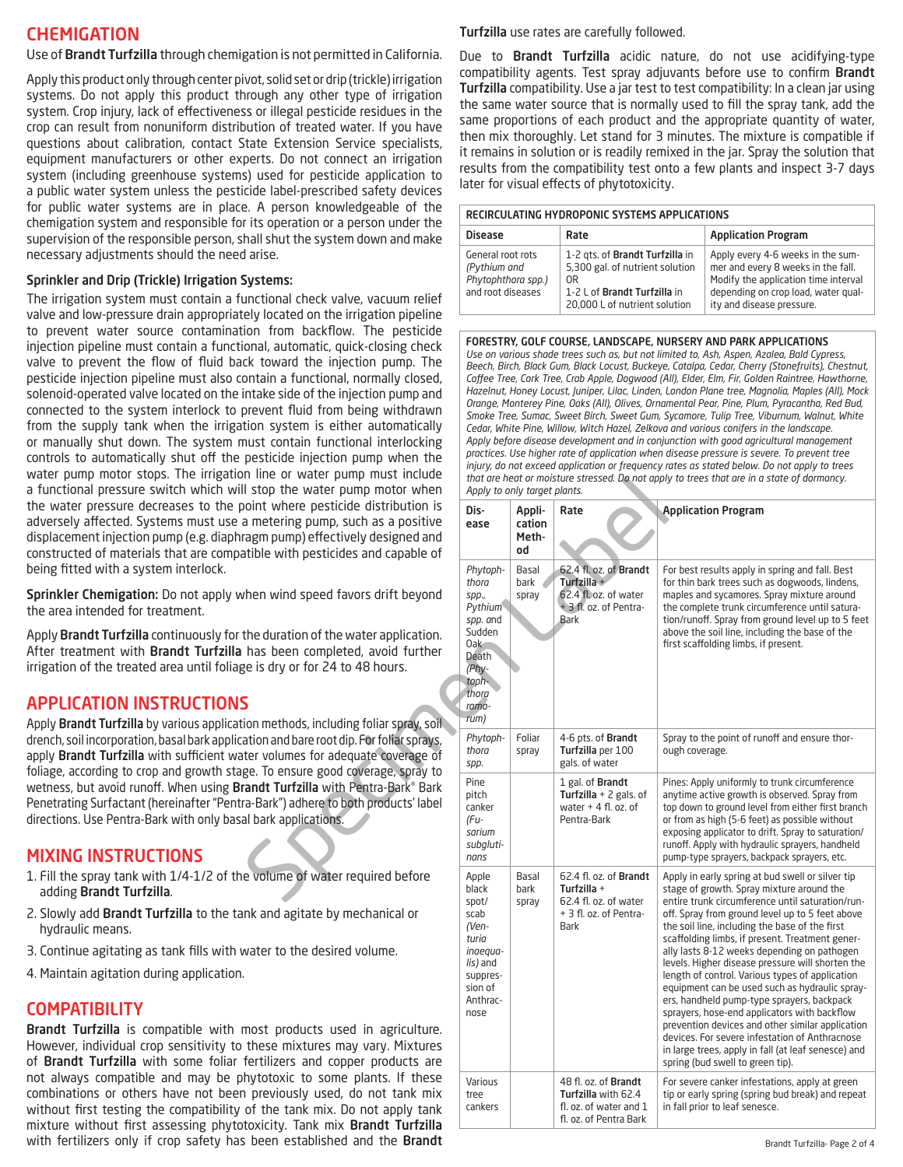## **CHEMIGATION**

Use of Brandt Turfzilla through chemigation is not permitted in California.

Apply this product only through center pivot, solid set or drip (trickle) irrigation systems. Do not apply this product through any other type of irrigation system. Crop injury, lack of effectiveness or illegal pesticide residues in the crop can result from nonuniform distribution of treated water. If you have questions about calibration, contact State Extension Service specialists, equipment manufacturers or other experts. Do not connect an irrigation system (including greenhouse systems) used for pesticide application to a public water system unless the pesticide label-prescribed safety devices for public water systems are in place. A person knowledgeable of the chemigation system and responsible for its operation or a person under the supervision of the responsible person, shall shut the system down and make necessary adjustments should the need arise.

#### Sprinkler and Drip (Trickle) Irrigation Systems:

The irrigation system must contain a functional check valve, vacuum relief valve and low-pressure drain appropriately located on the irrigation pipeline to prevent water source contamination from backflow. The pesticide injection pipeline must contain a functional, automatic, quick-closing check valve to prevent the flow of fluid back toward the injection pump. The pesticide injection pipeline must also contain a functional, normally closed, solenoid-operated valve located on the intake side of the injection pump and connected to the system interlock to prevent fluid from being withdrawn from the supply tank when the irrigation system is either automatically or manually shut down. The system must contain functional interlocking controls to automatically shut off the pesticide injection pump when the water pump motor stops. The irrigation line or water pump must include a functional pressure switch which will stop the water pump motor when the water pressure decreases to the point where pesticide distribution is adversely affected. Systems must use a metering pump, such as a positive displacement injection pump (e.g. diaphragm pump) effectively designed and constructed of materials that are compatible with pesticides and capable of being fitted with a system interlock.

Sprinkler Chemigation: Do not apply when wind speed favors drift beyond the area intended for treatment.

Apply Brandt Turfzilla continuously for the duration of the water application. After treatment with Brandt Turfzilla has been completed, avoid further irrigation of the treated area until foliage is dry or for 24 to 48 hours.

#### APPLICATION INSTRUCTIONS

Apply Brandt Turfzilla by various application methods, including foliar spray, soil drench, soil incorporation, basal bark application and bare root dip. For foliar sprays, apply Brandt Turfzilla with sufficient water volumes for adequate coverage of foliage, according to crop and growth stage. To ensure good coverage, spray to wetness, but avoid runoff. When using Brandt Turfzilla with Pentra-Bark® Bark Penetrating Surfactant (hereinafter "Pentra-Bark") adhere to both products' label directions. Use Pentra-Bark with only basal bark applications.

#### MIXING INSTRUCTIONS

- 1. Fill the spray tank with 1/4-1/2 of the volume of water required before adding Brandt Turfzilla.
- 2. Slowly add **Brandt Turfzilla** to the tank and agitate by mechanical or hydraulic means.
- 3. Continue agitating as tank fills with water to the desired volume.
- 4. Maintain agitation during application.

## **COMPATIBILITY**

Brandt Turfzilla is compatible with most products used in agriculture. However, individual crop sensitivity to these mixtures may vary. Mixtures of Brandt Turfzilla with some foliar fertilizers and copper products are not always compatible and may be phytotoxic to some plants. If these combinations or others have not been previously used, do not tank mix without first testing the compatibility of the tank mix. Do not apply tank mixture without first assessing phytotoxicity. Tank mix Brandt Turfzilla with fertilizers only if crop safety has been established and the Brandt Turfzilla use rates are carefully followed.

Due to Brandt Turfzilla acidic nature, do not use acidifying-type compatibility agents. Test spray adjuvants before use to confirm Brandt Turfzilla compatibility. Use a jar test to test compatibility: In a clean jar using the same water source that is normally used to fill the spray tank, add the same proportions of each product and the appropriate quantity of water, then mix thoroughly. Let stand for 3 minutes. The mixture is compatible if it remains in solution or is readily remixed in the jar. Spray the solution that results from the compatibility test onto a few plants and inspect 3-7 days later for visual effects of phytotoxicity.

#### RECIRCULATING HYDROPONIC SYSTEMS APPLICATIONS

| <b>Disease</b>                                                               | Rate                                                                                                                                                  | <b>Application Program</b>                                                                                                                                                          |
|------------------------------------------------------------------------------|-------------------------------------------------------------------------------------------------------------------------------------------------------|-------------------------------------------------------------------------------------------------------------------------------------------------------------------------------------|
| General root rots<br>(Pythium and<br>Phytophthora spp.)<br>and root diseases | 1-2 ats, of Brandt Turfzilla in<br>5,300 gal. of nutrient solution<br>0 <sub>R</sub><br>1-2 L of Brandt Turfzilla in<br>20,000 L of nutrient solution | Apply every 4-6 weeks in the sum-<br>mer and every 8 weeks in the fall.<br>Modify the application time interval<br>depending on crop load, water qual-<br>ity and disease pressure. |

FORESTRY, GOLF COURSE, LANDSCAPE, NURSERY AND PARK APPLICATIONS *Use on various shade trees such as, but not limited to, Ash, Aspen, Azalea, Bald Cypress, Beech, Birch, Black Gum, Black Locust, Buckeye, Catalpa, Cedar, Cherry (Stonefruits), Chestnut, Coffee Tree, Cork Tree, Crab Apple, Dogwood (All), Elder, Elm, Fir, Golden Raintree, Hawthorne, Hazelnut, Honey Locust, Juniper, Lilac, Linden, London Plane tree, Magnolia, Maples (All), Mock Orange, Monterey Pine, Oaks (All), Olives, Ornamental Pear, Pine, Plum, Pyracantha, Red Bud, Smoke Tree, Sumac, Sweet Birch, Sweet Gum, Sycamore, Tulip Tree, Viburnum, Walnut, White Cedar, White Pine, Willow, Witch Hazel, Zelkova and various conifers in the landscape. Apply before disease development and in conjunction with good agricultural management practices. Use higher rate of application when disease pressure is severe. To prevent tree injury, do not exceed application or frequency rates as stated below. Do not apply to trees that are heat or moisture stressed. Do not apply to trees that are in a state of dormancy. Apply to only target plants.*

| "' "''c o' watc' pamp mast mclasc<br>I stop the water pump motor when                                                                                                                                                  | that are neat or moisture stressed. Do not apply to trees that are in a state of dormancy.<br>Apply to only target plants. |                                 |                                                                                                         |                                                                                                                                                                                                                                                                                                                                                                                                                                                                                                                                                                                                                                                                                                                                                                                                                  |  |
|------------------------------------------------------------------------------------------------------------------------------------------------------------------------------------------------------------------------|----------------------------------------------------------------------------------------------------------------------------|---------------------------------|---------------------------------------------------------------------------------------------------------|------------------------------------------------------------------------------------------------------------------------------------------------------------------------------------------------------------------------------------------------------------------------------------------------------------------------------------------------------------------------------------------------------------------------------------------------------------------------------------------------------------------------------------------------------------------------------------------------------------------------------------------------------------------------------------------------------------------------------------------------------------------------------------------------------------------|--|
| ooint where pesticide distribution is<br>a metering pump, such as a positive<br>ragm pump) effectively designed and<br>atible with pesticides and capable of                                                           | Dis-<br>ease                                                                                                               | Appli-<br>cation<br>Meth-<br>od | Rate                                                                                                    | <b>Application Program</b>                                                                                                                                                                                                                                                                                                                                                                                                                                                                                                                                                                                                                                                                                                                                                                                       |  |
| hen wind speed favors drift beyond<br>the duration of the water application.<br>has been completed, avoid further<br>ge is dry or for 24 to 48 hours.<br>ion methods, including foliar spray, soil                     | Phytoph-<br>thora<br>spp.,<br>Pythium<br>spp. and<br>Sudden<br>Oak<br>Death<br>(Phy-<br>toph-<br>thora<br>ramo-<br>rum)    | Basal<br>bark<br>spray          | 62.4 fl. oz. of Brandt<br>Turfzilla +<br>62.4 fl. oz. of water<br>+ 3 fl. oz. of Pentra-<br><b>Bark</b> | For best results apply in spring and fall. Best<br>for thin bark trees such as dogwoods, lindens,<br>maples and sycamores. Spray mixture around<br>the complete trunk circumference until satura-<br>tion/runoff. Spray from ground level up to 5 feet<br>above the soil line, including the base of the<br>first scaffolding limbs, if present.                                                                                                                                                                                                                                                                                                                                                                                                                                                                 |  |
| ation and bare root dip. For foliar sprays,<br>ter volumes for adequate coverage of<br>ge. To ensure good coverage, spray to                                                                                           | Phytoph-<br>thora<br>spp.                                                                                                  | Foliar<br>spray                 | 4-6 pts. of Brandt<br>Turfzilla per 100<br>gals. of water                                               | Spray to the point of runoff and ensure thor-<br>ough coverage.                                                                                                                                                                                                                                                                                                                                                                                                                                                                                                                                                                                                                                                                                                                                                  |  |
| randt Turfzilla with Pentra-Bark® Bark<br>ra-Bark") adhere to both products' label<br>al bark applications.                                                                                                            | Pine<br>pitch<br>canker<br>(Fu-<br>sarium<br>subgluti-<br>nans                                                             |                                 | 1 gal. of Brandt<br><b>Turfzilla</b> $+$ 2 gals. of<br>water $+4$ fl. oz. of<br>Pentra-Bark             | Pines: Apply uniformly to trunk circumference<br>anytime active growth is observed. Spray from<br>top down to ground level from either first branch<br>or from as high (5-6 feet) as possible without<br>exposing applicator to drift. Spray to saturation/<br>runoff. Apply with hydraulic sprayers, handheld<br>pump-type sprayers, backpack sprayers, etc.                                                                                                                                                                                                                                                                                                                                                                                                                                                    |  |
| e volume of water required before<br>nk and agitate by mechanical or<br>water to the desired volume.<br>most products used in agriculture.<br>these mixtures may vary. Mixtures<br>fertilizers and copper products are | Apple<br>black<br>spot/<br>scab<br>(Ven-<br>turia<br>inaegua-<br>lis) and<br>suppres-<br>sion of<br>Anthrac-<br>nose       | Basal<br>bark<br>spray          | 62.4 fl. oz. of Brandt<br>Turfzilla +<br>62.4 fl. oz. of water<br>+ 3 fl. oz. of Pentra-<br>Bark        | Apply in early spring at bud swell or silver tip<br>stage of growth. Spray mixture around the<br>entire trunk circumference until saturation/run-<br>off. Spray from ground level up to 5 feet above<br>the soil line, including the base of the first<br>scaffolding limbs, if present. Treatment gener-<br>ally lasts 8-12 weeks depending on pathogen<br>levels. Higher disease pressure will shorten the<br>length of control. Various types of application<br>equipment can be used such as hydraulic spray-<br>ers, handheld pump-type sprayers, backpack<br>sprayers, hose-end applicators with backflow<br>prevention devices and other similar application<br>devices. For severe infestation of Anthracnose<br>in large trees, apply in fall (at leaf senesce) and<br>spring (bud swell to green tip). |  |
| hytotoxic to some plants. If these<br>previously used, do not tank mix<br>of the tank mix. Do not apply tank<br>tovicity Tapk miy Drandt Turfailla                                                                     | Various<br>tree<br>cankers                                                                                                 |                                 | 48 fl. oz. of Brandt<br>Turfzilla with 62.4<br>fl. oz. of water and 1<br>fl. oz. of Pentra Bark         | For severe canker infestations, apply at green<br>tip or early spring (spring bud break) and repeat<br>in fall prior to leaf senesce.                                                                                                                                                                                                                                                                                                                                                                                                                                                                                                                                                                                                                                                                            |  |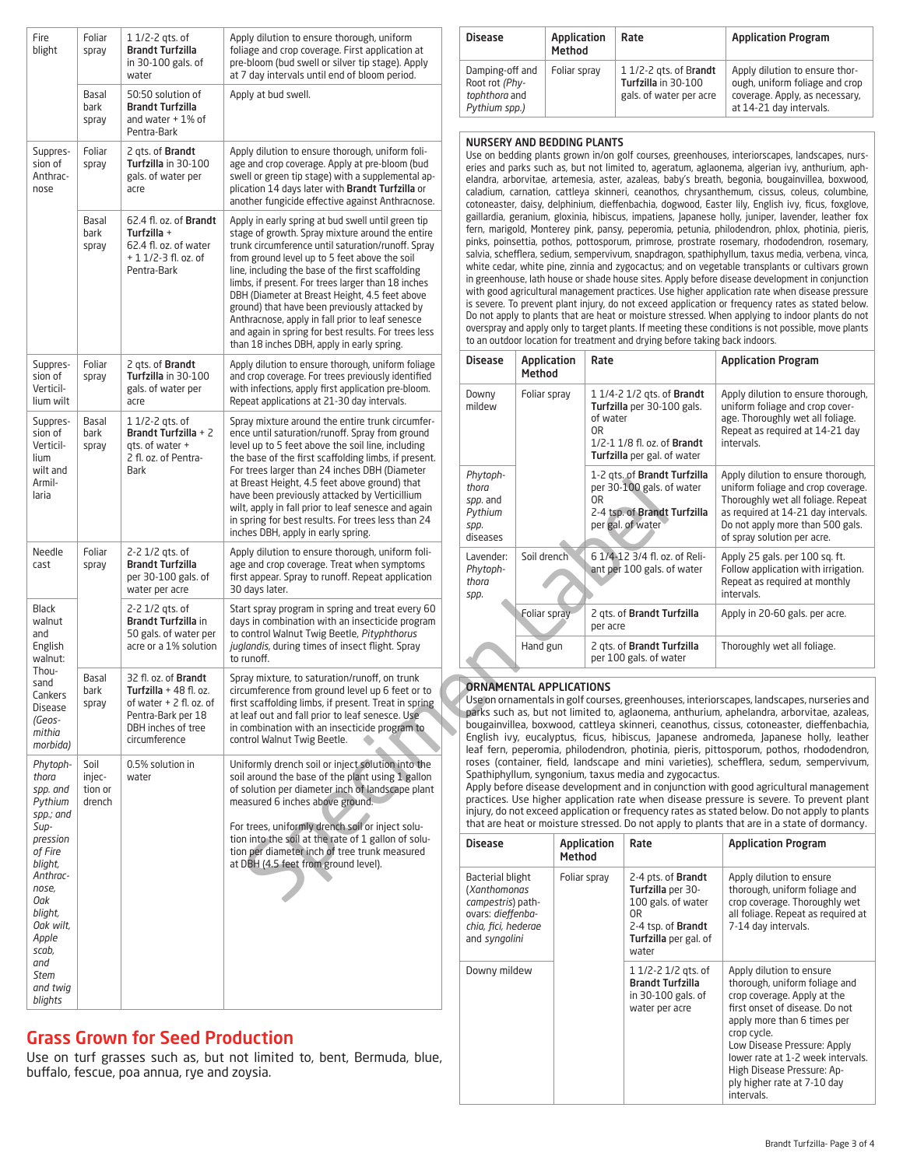| Fire<br>blight                                                             | Foliar<br>spray                     | 11/2-2 gts. of<br><b>Brandt Turfzilla</b><br>in 30-100 gals. of                                                                                 | Apply dilution to ensure thorough, uniform<br>foliage and crop coverage. First application at<br>pre-bloom (bud swell or silver tip stage). Apply                                                                                                                                                                                                                                                                                                                                                                                                                                     |                                                   | <b>Disease</b><br>Damping-off and                                                                                                                                                                                                                                                              |                                              | <b>Application</b><br>Method<br>Foliar spray |                                                                                                                                                                                                                                                                                                                                                                                                                                                                                                                                                                                                    | Rate<br>1 1/2-2 gts                                                                  |
|----------------------------------------------------------------------------|-------------------------------------|-------------------------------------------------------------------------------------------------------------------------------------------------|---------------------------------------------------------------------------------------------------------------------------------------------------------------------------------------------------------------------------------------------------------------------------------------------------------------------------------------------------------------------------------------------------------------------------------------------------------------------------------------------------------------------------------------------------------------------------------------|---------------------------------------------------|------------------------------------------------------------------------------------------------------------------------------------------------------------------------------------------------------------------------------------------------------------------------------------------------|----------------------------------------------|----------------------------------------------|----------------------------------------------------------------------------------------------------------------------------------------------------------------------------------------------------------------------------------------------------------------------------------------------------------------------------------------------------------------------------------------------------------------------------------------------------------------------------------------------------------------------------------------------------------------------------------------------------|--------------------------------------------------------------------------------------|
|                                                                            | Basal<br>bark<br>spray              | water<br>50:50 solution of<br><b>Brandt Turfzilla</b><br>and water $+1\%$ of<br>Pentra-Bark                                                     | at 7 day intervals until end of bloom period.<br>Apply at bud swell.                                                                                                                                                                                                                                                                                                                                                                                                                                                                                                                  |                                                   | Root rot (Phy-<br>tophthora and<br>Pythium spp.)                                                                                                                                                                                                                                               |                                              |                                              |                                                                                                                                                                                                                                                                                                                                                                                                                                                                                                                                                                                                    | Turfzilla in<br>gals. of wat                                                         |
| Suppres-<br>sion of<br>Anthrac-<br>nose                                    | Foliar<br>spray                     | 2 gts. of <b>Brandt</b><br>Turfzilla in 30-100<br>gals. of water per<br>acre                                                                    | Apply dilution to ensure thorough, uniform foli-<br>age and crop coverage. Apply at pre-bloom (bud<br>swell or green tip stage) with a supplemental ap-<br>plication 14 days later with Brandt Turfzilla or<br>another fungicide effective against Anthracnose.                                                                                                                                                                                                                                                                                                                       |                                                   | <b>NURSERY AND BEDDING PLANTS</b><br>Use on bedding plants grown in/on golf courses,<br>eries and parks such as, but not limited to, ager<br>elandra, arborvitae, artemesia, aster, azaleas, b<br>caladium, carnation, cattleya skinneri, ceanothe                                             |                                              |                                              |                                                                                                                                                                                                                                                                                                                                                                                                                                                                                                                                                                                                    |                                                                                      |
|                                                                            | Basal<br>bark<br>spray              | 62.4 fl. oz. of <b>Brandt</b><br>Turfzilla +<br>62.4 fl. oz. of water<br>$+11/2-3$ fl. oz. of<br>Pentra-Bark                                    | Apply in early spring at bud swell until green tip<br>stage of growth. Spray mixture around the entire<br>trunk circumference until saturation/runoff. Spray<br>from ground level up to 5 feet above the soil<br>line, including the base of the first scaffolding<br>limbs, if present. For trees larger than 18 inches<br>DBH (Diameter at Breast Height, 4.5 feet above<br>ground) that have been previously attacked by<br>Anthracnose, apply in fall prior to leaf senesce<br>and again in spring for best results. For trees less<br>than 18 inches DBH, apply in early spring. | cotoneaster, daisy, delphinium, dieffenbachia, do |                                                                                                                                                                                                                                                                                                |                                              |                                              | gaillardia, geranium, gloxinia, hibiscus, impatien:<br>fern, marigold, Monterey pink, pansy, peperomia<br>pinks, poinsettia, pothos, pottosporum, primrose<br>salvia, schefflera, sedium, sempervivum, snapdrag<br>white cedar, white pine, zinnia and zygocactus; a<br>in greenhouse, lath house or shade house sites. A<br>with good agricultural management practices. Us<br>is severe. To prevent plant injury, do not exceed<br>Do not apply to plants that are heat or moisture :<br>overspray and apply only to target plants. If meet<br>to an outdoor location for treatment and drying b |                                                                                      |
| Suppres-<br>sion of<br>Verticil-<br>lium wilt                              | Foliar<br>spray                     | 2 gts. of <b>Brandt</b><br>Turfzilla in 30-100<br>gals. of water per<br>acre                                                                    | Apply dilution to ensure thorough, uniform foliage<br>and crop coverage. For trees previously identified<br>with infections, apply first application pre-bloom.<br>Repeat applications at 21-30 day intervals.                                                                                                                                                                                                                                                                                                                                                                        |                                                   | <b>Disease</b><br>Downy                                                                                                                                                                                                                                                                        | <b>Application</b><br>Method<br>Foliar spray |                                              | Rate                                                                                                                                                                                                                                                                                                                                                                                                                                                                                                                                                                                               | 1 1/4-2 1/2 gts. of                                                                  |
| Suppres-<br>sion of<br>Verticil-<br>lium                                   | Basal<br>bark<br>spray              | 11/2-2 gts. of<br>Brandt Turfzilla + 2<br>gts. of water +<br>2 fl. oz. of Pentra-                                                               | Spray mixture around the entire trunk circumfer-<br>ence until saturation/runoff. Spray from ground<br>level up to 5 feet above the soil line, including<br>the base of the first scaffolding limbs, if present.                                                                                                                                                                                                                                                                                                                                                                      |                                                   | mildew                                                                                                                                                                                                                                                                                         |                                              |                                              | of water<br>0R                                                                                                                                                                                                                                                                                                                                                                                                                                                                                                                                                                                     | Turfzilla per 30-10<br>1/2-1 1/8 fl. oz. of<br>Turfzilla per gal. o                  |
| wilt and<br>Armil-<br>laria                                                |                                     | <b>Bark</b>                                                                                                                                     | For trees larger than 24 inches DBH (Diameter<br>at Breast Height, 4.5 feet above ground) that<br>have been previously attacked by Verticillium<br>wilt, apply in fall prior to leaf senesce and again<br>in spring for best results. For trees less than 24<br>inches DBH, apply in early spring.                                                                                                                                                                                                                                                                                    | thora<br>spp.                                     | Phytoph-<br>spp. and<br>Pythium<br>diseases                                                                                                                                                                                                                                                    |                                              |                                              | 1-2 gts. of <b>Brandt</b><br>per 30-100 gals. o<br>0R<br>2-4 tsp. of Brandt<br>per gal. of water                                                                                                                                                                                                                                                                                                                                                                                                                                                                                                   |                                                                                      |
| Needle<br>cast                                                             | Foliar<br>spray                     | 2-2 1/2 gts. of<br><b>Brandt Turfzilla</b><br>per 30-100 gals. of<br>water per acre                                                             | Apply dilution to ensure thorough, uniform foli-<br>age and crop coverage. Treat when symptoms<br>first appear. Spray to runoff. Repeat application<br>30 days later.                                                                                                                                                                                                                                                                                                                                                                                                                 |                                                   | Lavender:<br>Phytoph-<br>thora<br>spp.                                                                                                                                                                                                                                                         | Soil drench                                  |                                              |                                                                                                                                                                                                                                                                                                                                                                                                                                                                                                                                                                                                    | 6 1/4-12 3/4 fl. oz<br>ant per 100 gals. c                                           |
| Black<br>walnut<br>and<br>English<br>walnut:                               |                                     | 2-2 1/2 gts. of<br><b>Brandt Turfzilla in</b><br>50 gals. of water per<br>acre or a 1% solution                                                 | Start spray program in spring and treat every 60<br>days in combination with an insecticide program<br>to control Walnut Twig Beetle, Pityphthorus<br>juglandis, during times of insect flight. Spray<br>to runoff.                                                                                                                                                                                                                                                                                                                                                                   |                                                   |                                                                                                                                                                                                                                                                                                | Foliar spray<br>Hand gun                     |                                              | per acre                                                                                                                                                                                                                                                                                                                                                                                                                                                                                                                                                                                           | 2 gts. of Brandt Tu<br>2 gts. of Brandt Tu<br>per 100 gals. of w                     |
| Thou-<br>sand<br>Cankers<br><b>Disease</b><br>(Geos-<br>mithia<br>morbida) | Basal<br>bark<br>spray              | 32 fl. oz. of Brandt<br><b>Turfzilla</b> + 48 fl. oz.<br>of water $+ 2$ fl. oz. of<br>Pentra-Bark per 18<br>DBH inches of tree<br>circumference | Spray mixture, to saturation/runoff, on trunk<br>circumference from ground level up 6 feet or to<br>first scaffolding limbs, if present. Treat in spring<br>at leaf out and fall prior to leaf senesce. Use<br>in combination with an insecticide program to<br>control Walnut Twig Beetle.                                                                                                                                                                                                                                                                                           |                                                   | ORNAMENTAL APPLICATIONS<br>Use on ornamentals in golf courses, greenhous<br>parks such as, but not limited to, aglaonema,<br>bougainvillea, boxwood, cattleya skinneri, ce<br>English ivy, eucalyptus, ficus, hibiscus, Jap<br>leaf fern, peperomia, philodendron, photinia,                   |                                              |                                              |                                                                                                                                                                                                                                                                                                                                                                                                                                                                                                                                                                                                    |                                                                                      |
| Phytoph-<br>thora<br>spp. and<br>Pythium<br>spp.; and<br>Sup-              | Soil<br>injec-<br>tion or<br>drench | 0.5% solution in<br>water                                                                                                                       | Uniformly drench soil or inject solution into the<br>soil around the base of the plant using 1 gallon<br>of solution per diameter inch of landscape plant<br>measured 6 inches above ground.<br>For trees, uniformly drench soil or inject solu-                                                                                                                                                                                                                                                                                                                                      |                                                   | roses (container, field, landscape and mini<br>Spathiphyllum, syngonium, taxus media and z<br>Apply before disease development and in con<br>practices. Use higher application rate when o<br>injury, do not exceed application or frequency<br>that are heat or moisture stressed. Do not app |                                              |                                              |                                                                                                                                                                                                                                                                                                                                                                                                                                                                                                                                                                                                    |                                                                                      |
| pression<br>of Fire<br>blight,                                             |                                     |                                                                                                                                                 | tion into the soil at the rate of 1 gallon of solu-<br>tion per diameter inch of tree trunk measured<br>at DBH (4.5 feet from ground level).                                                                                                                                                                                                                                                                                                                                                                                                                                          |                                                   | Disease                                                                                                                                                                                                                                                                                        |                                              | Method                                       | <b>Application</b>                                                                                                                                                                                                                                                                                                                                                                                                                                                                                                                                                                                 | Rate                                                                                 |
| Anthrac-<br>nose,<br>Oak<br>blight,<br>Oak wilt,<br>Apple<br>scab,         |                                     |                                                                                                                                                 |                                                                                                                                                                                                                                                                                                                                                                                                                                                                                                                                                                                       |                                                   | Bacterial blight<br>(Xanthomonas<br>campestris) path-<br>ovars: dieffenba-<br>chia, fici, hederae<br>and syngolini                                                                                                                                                                             |                                              | Foliar spray                                 |                                                                                                                                                                                                                                                                                                                                                                                                                                                                                                                                                                                                    | $2-4$ pts. $0$<br>Turfzilla<br>$100$ gals.<br>0R<br>2-4 tsp. o<br>Turfzilla<br>water |
| and<br><b>Stem</b><br>and twig<br>blights                                  |                                     |                                                                                                                                                 |                                                                                                                                                                                                                                                                                                                                                                                                                                                                                                                                                                                       |                                                   | Downy mildew                                                                                                                                                                                                                                                                                   |                                              |                                              |                                                                                                                                                                                                                                                                                                                                                                                                                                                                                                                                                                                                    | $11/2 - 21$<br><b>Brandt To</b><br>in 30-100<br>water por                            |

## Grass Grown for Seed Production

Use on turf grasses such as, but not limited to, bent, Bermuda, blue, buffalo, fescue, poa annua, rye and zoysia.

| <b>Disease</b>                                                      | Application<br>Method | Rate                                                                      | <b>Application Program</b>                                                                                                    |
|---------------------------------------------------------------------|-----------------------|---------------------------------------------------------------------------|-------------------------------------------------------------------------------------------------------------------------------|
| Damping-off and<br>Root rot (Phy-<br>tophthora and<br>Pythium spp.) | Foliar spray          | $11/2-2$ gts. of Brandt<br>Turfzilla in 30-100<br>gals, of water per acre | Apply dilution to ensure thor-<br>ough, uniform foliage and crop<br>coverage. Apply, as necessary,<br>at 14-21 day intervals. |

#### NURSERY AND BEDDING PLANTS

Use on bedding plants grown in/on golf courses, greenhouses, interiorscapes, landscapes, nurseries and parks such as, but not limited to, ageratum, aglaonema, algerian ivy, anthurium, aphelandra, arborvitae, artemesia, aster, azaleas, baby's breath, begonia, bougainvillea, boxwood, caladium, carnation, cattleya skinneri, ceanothos, chrysanthemum, cissus, coleus, columbine, cotoneaster, daisy, delphinium, dieffenbachia, dogwood, Easter lily, English ivy, ficus, foxglove, gaillardia, geranium, gloxinia, hibiscus, impatiens, Japanese holly, juniper, lavender, leather fox fern, marigold, Monterey pink, pansy, peperomia, petunia, philodendron, phlox, photinia, pieris, pinks, poinsettia, pothos, pottosporum, primrose, prostrate rosemary, rhododendron, rosemary, salvia, schefflera, sedium, sempervivum, snapdragon, spathiphyllum, taxus media, verbena, vinca, white cedar, white pine, zinnia and zygocactus; and on vegetable transplants or cultivars grown in greenhouse, lath house or shade house sites. Apply before disease development in conjunction with good agricultural management practices. Use higher application rate when disease pressure is severe. To prevent plant injury, do not exceed application or frequency rates as stated below. Do not apply to plants that are heat or moisture stressed. When applying to indoor plants do not overspray and apply only to target plants. If meeting these conditions is not possible, move plants to an outdoor location for treatment and drying before taking back indoors.

| Disease                                                      | <b>Application</b><br>Method | Rate                                                                                                                                                   | <b>Application Program</b>                                                                                                                                                                                               |
|--------------------------------------------------------------|------------------------------|--------------------------------------------------------------------------------------------------------------------------------------------------------|--------------------------------------------------------------------------------------------------------------------------------------------------------------------------------------------------------------------------|
| Foliar spray<br>Downy<br>mildew                              |                              | 1 1/4-2 1/2 gts. of <b>Brandt</b><br>Turfzilla per 30-100 gals.<br>of water<br>0R<br>1/2-1 1/8 fl. oz. of Brandt<br><b>Turfzilla</b> per gal. of water | Apply dilution to ensure thorough,<br>uniform foliage and crop cover-<br>age. Thoroughly wet all foliage.<br>Repeat as required at 14-21 day<br>intervals.                                                               |
| Phytoph-<br>thorn<br>spp. and<br>Pythium<br>spp.<br>diseases |                              | 1-2 gts. of Brandt Turfzilla<br>per 30-100 gals, of water<br>0R<br>2-4 tsp. of Brandt Turfzilla<br>per gal. of water                                   | Apply dilution to ensure thorough,<br>uniform foliage and crop coverage.<br>Thoroughly wet all foliage. Repeat<br>as required at 14-21 day intervals.<br>Do not apply more than 500 gals.<br>of spray solution per acre. |
| Lavender:<br>Phytoph-<br>thora<br>spp.                       | Soil drench                  | 6 1/4-12 3/4 fl. oz. of Reli-<br>ant per 100 gals, of water                                                                                            | Apply 25 gals. per 100 sq. ft.<br>Follow application with irrigation.<br>Repeat as required at monthly<br>intervals.                                                                                                     |
|                                                              | Foliar spray                 | 2 gts. of Brandt Turfzilla<br>per acre                                                                                                                 | Apply in 20-60 gals. per acre.                                                                                                                                                                                           |
|                                                              | Hand gun                     | 2 gts. of Brandt Turfzilla<br>per 100 gals, of water                                                                                                   | Thoroughly wet all foliage.                                                                                                                                                                                              |

#### ORNAMENTAL APPLICATIONS

Use on ornamentals in golf courses, greenhouses, interiorscapes, landscapes, nurseries and parks such as, but not limited to, aglaonema, anthurium, aphelandra, arborvitae, azaleas, bougainvillea, boxwood, cattleya skinneri, ceanothus, cissus, cotoneaster, dieffenbachia, English ivy, eucalyptus, ficus, hibiscus, Japanese andromeda, Japanese holly, leather leaf fern, peperomia, philodendron, photinia, pieris, pittosporum, pothos, rhododendron, roses (container, field, landscape and mini varieties), schefflera, sedum, sempervivum, Spathiphyllum, syngonium, taxus media and zygocactus.

Apply before disease development and in conjunction with good agricultural management practices. Use higher application rate when disease pressure is severe. To prevent plant injury, do not exceed application or frequency rates as stated below. Do not apply to plants that are heat or moisture stressed. Do not apply to plants that are in a state of dormancy.

| <b>Disease</b>                                                                                                     | <b>Application</b><br>Method | Rate                                                                                                                               | <b>Application Program</b>                                                                                                                                                                                                                                                                                              |
|--------------------------------------------------------------------------------------------------------------------|------------------------------|------------------------------------------------------------------------------------------------------------------------------------|-------------------------------------------------------------------------------------------------------------------------------------------------------------------------------------------------------------------------------------------------------------------------------------------------------------------------|
| Bacterial blight<br>(Xanthomonas<br>campestris) path-<br>ovars: dieffenba-<br>chia, fici, hederae<br>and syngolini | Foliar spray                 | 2-4 pts. of <b>Brandt</b><br>Turfzilla per 30-<br>100 gals, of water<br>0R<br>2-4 tsp. of Brandt<br>Turfzilla per gal. of<br>water | Apply dilution to ensure<br>thorough, uniform foliage and<br>crop coverage. Thoroughly wet<br>all foliage. Repeat as required at<br>7-14 day intervals.                                                                                                                                                                 |
| Downy mildew                                                                                                       |                              | 1 1/2-2 1/2 gts. of<br><b>Brandt Turfzilla</b><br>in 30-100 gals, of<br>water per acre                                             | Apply dilution to ensure<br>thorough, uniform foliage and<br>crop coverage. Apply at the<br>first onset of disease. Do not<br>apply more than 6 times per<br>crop cycle.<br>Low Disease Pressure: Apply<br>lower rate at 1-2 week intervals.<br>High Disease Pressure: Ap-<br>ply higher rate at 7-10 day<br>intervals. |